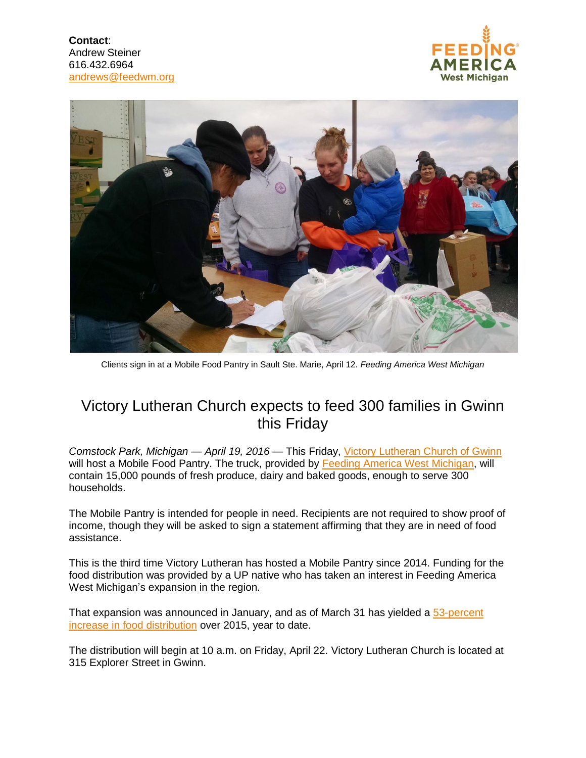**Contact**: Andrew Steiner 616.432.6964 andrews@feedwm.org





Clients sign in at a Mobile Food Pantry in Sault Ste. Marie, April 12. *Feeding America West Michigan*

## Victory Lutheran Church expects to feed 300 families in Gwinn this Friday

*Comstock Park, Michigan — April 19, 2016 —* This Friday, [Victory Lutheran Church](https://www.google.com/maps/place/Victory+Lutheran+Church/@46.3356644,-87.3609199,17z/data=!3m1!4b1!4m2!3m1!1s0x4d4e1cca3ff23367:0x37b1910d1814c9ef) of Gwinn will host a Mobile Food Pantry. The truck, provided by [Feeding America West Michigan,](http://www.feedwm.org/) will contain 15,000 pounds of fresh produce, dairy and baked goods, enough to serve 300 households.

The Mobile Pantry is intended for people in need. Recipients are not required to show proof of income, though they will be asked to sign a statement affirming that they are in need of food assistance.

This is the third time Victory Lutheran has hosted a Mobile Pantry since 2014. Funding for the food distribution was provided by a UP native who has taken an interest in Feeding America West Michigan's expansion in the region.

That expansion was announced in January, and as of March 31 has yielded a [53-percent](http://www.feedwm.org/2016/04/feeding-america-west-michigan-grows-food-distribution-in-up-during-first-quarter/) [increase in food distribution](http://www.feedwm.org/2016/04/feeding-america-west-michigan-grows-food-distribution-in-up-during-first-quarter/) over 2015, year to date.

The distribution will begin at 10 a.m. on Friday, April 22. Victory Lutheran Church is located at 315 Explorer Street in Gwinn.